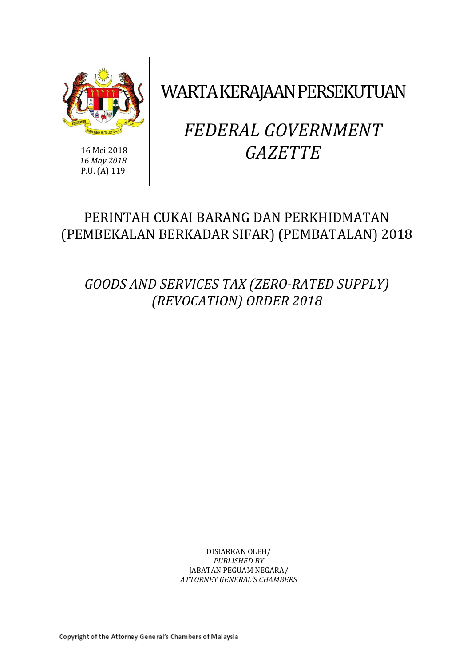

16 Mei 2018 *16 May 2018* P.U. (A) 119

WARTA KERAJAAN PERSEKUTUAN

# *FEDERAL GOVERNMENT GAZETTE*

# PERINTAH CUKAI BARANG DAN PERKHIDMATAN (PEMBEKALAN BERKADAR SIFAR) (PEMBATALAN) 2018

*GOODS AND SERVICES TAX (ZERO-RATED SUPPLY) (REVOCATION) ORDER 2018*

> DISIARKAN OLEH/ *PUBLISHED BY* JABATAN PEGUAM NEGARA/ *ATTORNEY GENERAL'S CHAMBERS*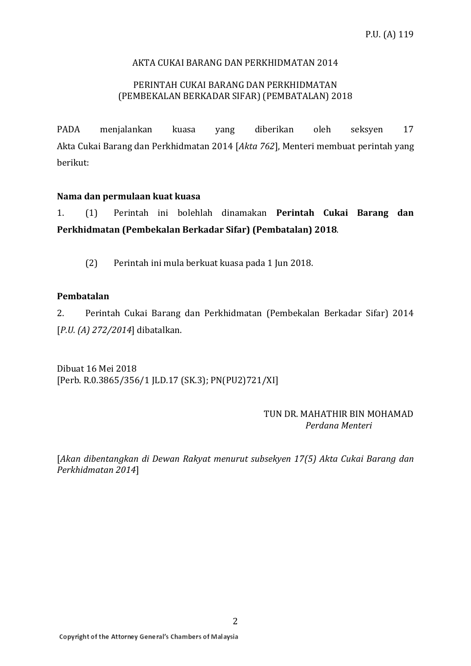# AKTA CUKAI BARANG DAN PERKHIDMATAN 2014

# PERINTAH CUKAI BARANG DAN PERKHIDMATAN (PEMBEKALAN BERKADAR SIFAR) (PEMBATALAN) 2018

PADA menjalankan kuasa yang diberikan oleh seksyen 17 Akta Cukai Barang dan Perkhidmatan 2014 [*Akta 762*], Menteri membuat perintah yang berikut:

# **Nama dan permulaan kuat kuasa**

1. (1) Perintah ini bolehlah dinamakan **Perintah Cukai Barang dan Perkhidmatan (Pembekalan Berkadar Sifar) (Pembatalan) 2018**.

(2) Perintah ini mula berkuat kuasa pada 1 Jun 2018.

#### **Pembatalan**

2. Perintah Cukai Barang dan Perkhidmatan (Pembekalan Berkadar Sifar) 2014 [*P.U. (A) 272/2014*] dibatalkan.

Dibuat 16 Mei 2018 [Perb. R.0.3865/356/1 JLD.17 (SK.3); PN(PU2)721/XI]

#### TUN DR. MAHATHIR BIN MOHAMAD *Perdana Menteri*

[*Akan dibentangkan di Dewan Rakyat menurut subsekyen 17(5) Akta Cukai Barang dan Perkhidmatan 2014*]